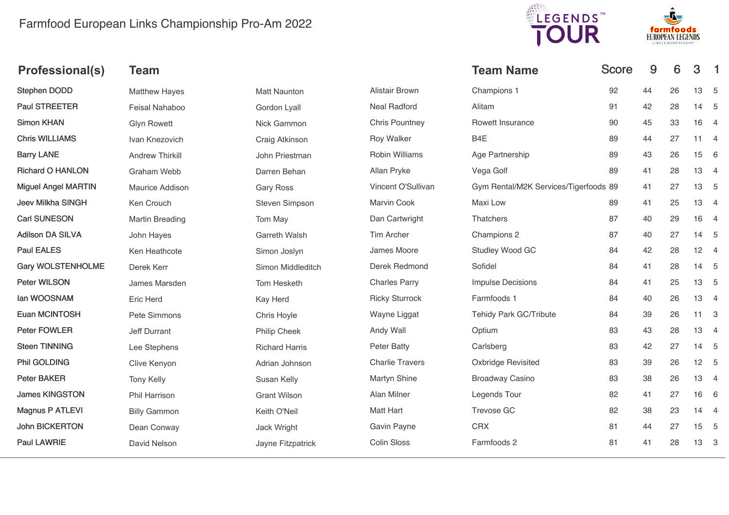## Farmfood European Links Championship Pro-Am 2022





| <b>Team</b>            |                       |                        | <b>Team Name</b>         |    | 9                                                     | 6  | 3  | - 1                                                                                                                                                                                        |
|------------------------|-----------------------|------------------------|--------------------------|----|-------------------------------------------------------|----|----|--------------------------------------------------------------------------------------------------------------------------------------------------------------------------------------------|
| <b>Matthew Hayes</b>   | <b>Matt Naunton</b>   | Alistair Brown         | Champions 1              | 92 | 44                                                    | 26 |    |                                                                                                                                                                                            |
| Feisal Nahaboo         | Gordon Lyall          | <b>Neal Radford</b>    | Alitam                   | 91 | 42                                                    | 28 |    |                                                                                                                                                                                            |
| <b>Glyn Rowett</b>     | Nick Gammon           | <b>Chris Pountney</b>  | Rowett Insurance         | 90 | 45                                                    | 33 |    |                                                                                                                                                                                            |
| Ivan Knezovich         | Craig Atkinson        | <b>Roy Walker</b>      | B <sub>4</sub> E         | 89 | 44                                                    | 27 |    |                                                                                                                                                                                            |
| <b>Andrew Thirkill</b> | John Priestman        | <b>Robin Williams</b>  | Age Partnership          | 89 | 43                                                    | 26 | 15 | $6\overline{6}$                                                                                                                                                                            |
| Graham Webb            | Darren Behan          | Allan Pryke            | Vega Golf                | 89 | 41                                                    | 28 |    |                                                                                                                                                                                            |
| Maurice Addison        | <b>Gary Ross</b>      | Vincent O'Sullivan     |                          |    | 41                                                    | 27 | 13 | 5                                                                                                                                                                                          |
| Ken Crouch             | Steven Simpson        | Marvin Cook            | Maxi Low                 | 89 | 41                                                    | 25 | 13 | $\overline{4}$                                                                                                                                                                             |
| Martin Breading        | Tom May               | Dan Cartwright         | Thatchers                | 87 | 40                                                    | 29 | 16 | $\overline{4}$                                                                                                                                                                             |
| John Hayes             | Garreth Walsh         | <b>Tim Archer</b>      | Champions 2              | 87 | 40                                                    | 27 |    |                                                                                                                                                                                            |
| Ken Heathcote          | Simon Joslyn          | James Moore            | Studley Wood GC          | 84 | 42                                                    | 28 |    |                                                                                                                                                                                            |
| Derek Kerr             | Simon Middleditch     | Derek Redmond          | Sofidel                  | 84 | 41                                                    | 28 |    |                                                                                                                                                                                            |
| James Marsden          | Tom Hesketh           | <b>Charles Parry</b>   | <b>Impulse Decisions</b> | 84 | 41                                                    | 25 |    |                                                                                                                                                                                            |
| Eric Herd              | Kay Herd              | <b>Ricky Sturrock</b>  | Farmfoods 1              | 84 | 40                                                    | 26 |    |                                                                                                                                                                                            |
| Pete Simmons           | Chris Hoyle           | Wayne Liggat           | Tehidy Park GC/Tribute   | 84 | 39                                                    | 26 |    |                                                                                                                                                                                            |
| <b>Jeff Durrant</b>    | Philip Cheek          | Andy Wall              | Optium                   | 83 | 43                                                    | 28 |    |                                                                                                                                                                                            |
| Lee Stephens           | <b>Richard Harris</b> | <b>Peter Batty</b>     | Carlsberg                | 83 | 42                                                    | 27 |    |                                                                                                                                                                                            |
| Clive Kenyon           | Adrian Johnson        | <b>Charlie Travers</b> | Oxbridge Revisited       | 83 | 39                                                    | 26 |    |                                                                                                                                                                                            |
| <b>Tony Kelly</b>      | Susan Kelly           | <b>Martyn Shine</b>    | <b>Broadway Casino</b>   | 83 | 38                                                    | 26 |    |                                                                                                                                                                                            |
| Phil Harrison          | <b>Grant Wilson</b>   | Alan Milner            | Legends Tour             | 82 | 41                                                    | 27 | 16 | $6\overline{6}$                                                                                                                                                                            |
| <b>Billy Gammon</b>    | Keith O'Neil          | Matt Hart              | Trevose GC               | 82 | 38                                                    | 23 |    |                                                                                                                                                                                            |
| Dean Conway            | Jack Wright           | Gavin Payne            | <b>CRX</b>               | 81 | 44                                                    | 27 | 15 | $-5$                                                                                                                                                                                       |
| David Nelson           | Jayne Fitzpatrick     | <b>Colin Sloss</b>     | Farmfoods 2              | 81 | 41                                                    | 28 |    |                                                                                                                                                                                            |
|                        |                       |                        |                          |    | <b>Score</b><br>Gym Rental/M2K Services/Tigerfoods 89 |    |    | 13 5<br>14 5<br>16 4<br>$11 \quad 4$<br>13 4<br>14 5<br>$12 \quad 4$<br>14 5<br>13 5<br>13 4<br>$11 \quad 3$<br>13 4<br>14 5<br>12 <sub>5</sub><br>13 4<br>$14 \quad 4$<br>13 <sup>3</sup> |